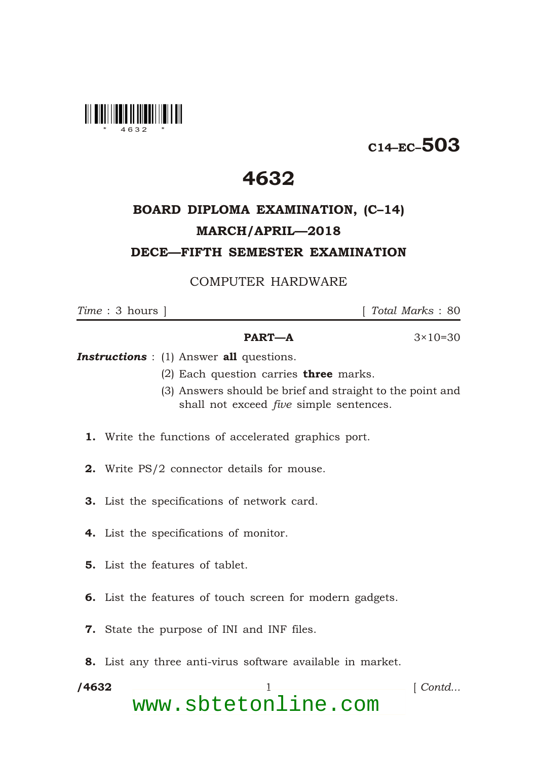

# C14–EC–503

## 4632

## BOARD DIPLOMA EXAMINATION, (C–14) MARCH/APRIL—2018 DECE—FIFTH SEMESTER EXAMINATION

### COMPUTER HARDWARE

\*

*Time* : 3 hours ] [ *Total Marks* : 80

### **PART—A**  $3 \times 10 = 30$

**Instructions** : (1) Answer all questions.

- (2) Each question carries **three** marks.
- (3) Answers should be brief and straight to the point and shall not exceed *five* simple sentences.
- 1. Write the functions of accelerated graphics port.
- 2. Write PS/2 connector details for mouse.
- 3. List the specifications of network card.
- 4. List the specifications of monitor.
- 5. List the features of tablet.
- 6. List the features of touch screen for modern gadgets.
- 7. State the purpose of INI and INF files.
- 8. List any three anti-virus software available in market.

/4632 1 *Contd...* www.sbtetonline.com